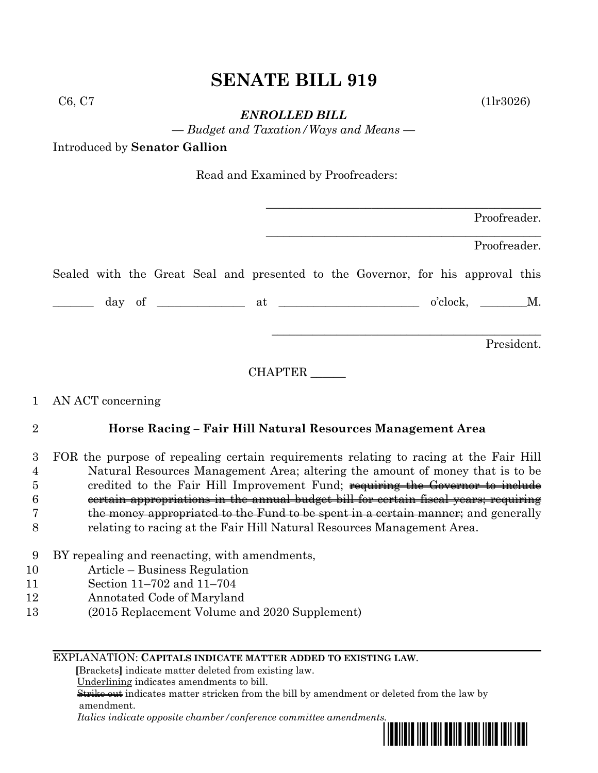# **SENATE BILL 919**

*ENROLLED BILL*

*— Budget and Taxation/Ways and Means —*

Introduced by **Senator Gallion**

Read and Examined by Proofreaders:

|  |  |  | Proofreader. |  |                                                                                 |  |              |  |
|--|--|--|--------------|--|---------------------------------------------------------------------------------|--|--------------|--|
|  |  |  |              |  |                                                                                 |  | Proofreader. |  |
|  |  |  |              |  | Sealed with the Great Seal and presented to the Governor, for his approval this |  |              |  |
|  |  |  |              |  |                                                                                 |  | o'clock, M.  |  |
|  |  |  |              |  |                                                                                 |  | President.   |  |

CHAPTER \_\_\_\_\_\_

## 1 AN ACT concerning

## 2 **Horse Racing – Fair Hill Natural Resources Management Area**

#### 3 FOR the purpose of repealing certain requirements relating to racing at the Fair Hill 4 Natural Resources Management Area; altering the amount of money that is to be 5 5 credited to the Fair Hill Improvement Fund; requiring the Governor to include 6 certain appropriations in the annual budget bill for certain fiscal years; requiring 7 the money appropriated to the Fund to be spent in a certain manner; and generally 8 relating to racing at the Fair Hill Natural Resources Management Area.

- 9 BY repealing and reenacting, with amendments,
- 10 Article Business Regulation
- 11 Section 11–702 and 11–704
- 12 Annotated Code of Maryland
- 13 (2015 Replacement Volume and 2020 Supplement)

#### EXPLANATION: **CAPITALS INDICATE MATTER ADDED TO EXISTING LAW**.

 **[**Brackets**]** indicate matter deleted from existing law.

Underlining indicates amendments to bill.

 Strike out indicates matter stricken from the bill by amendment or deleted from the law by amendment.

 *Italics indicate opposite chamber/conference committee amendments.*



 $C6, C7$  (1lr3026)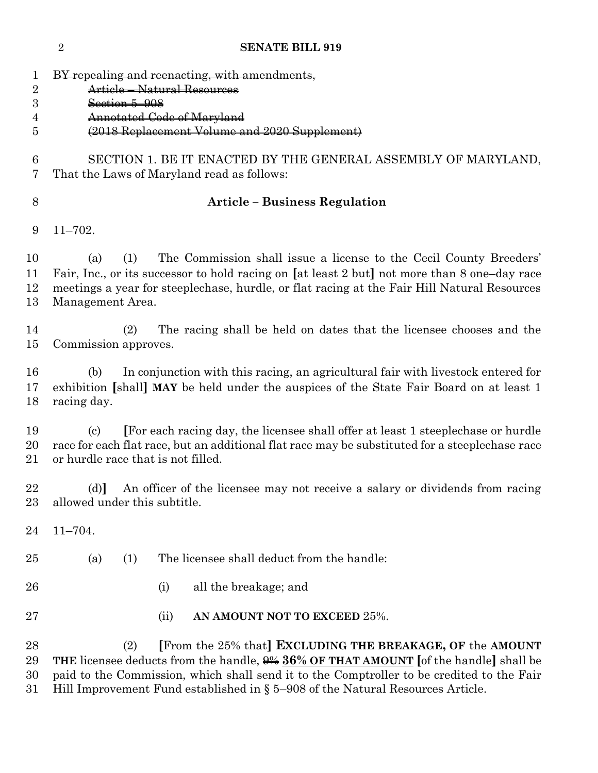**SENATE BILL 919** BY repealing and reenacting, with amendments, Article – Natural Resources Section 5–908 Annotated Code of Maryland (2018 Replacement Volume and 2020 Supplement) SECTION 1. BE IT ENACTED BY THE GENERAL ASSEMBLY OF MARYLAND, That the Laws of Maryland read as follows: **Article – Business Regulation** 11–702. (a) (1) The Commission shall issue a license to the Cecil County Breeders' Fair, Inc., or its successor to hold racing on **[**at least 2 but**]** not more than 8 one–day race meetings a year for steeplechase, hurdle, or flat racing at the Fair Hill Natural Resources Management Area. (2) The racing shall be held on dates that the licensee chooses and the Commission approves. (b) In conjunction with this racing, an agricultural fair with livestock entered for exhibition **[**shall**] MAY** be held under the auspices of the State Fair Board on at least 1 racing day. (c) **[**For each racing day, the licensee shall offer at least 1 steeplechase or hurdle race for each flat race, but an additional flat race may be substituted for a steeplechase race or hurdle race that is not filled. (d)**]** An officer of the licensee may not receive a salary or dividends from racing allowed under this subtitle. 11–704. (a) (1) The licensee shall deduct from the handle: (i) all the breakage; and (ii) **AN AMOUNT NOT TO EXCEED** 25%. (2) **[**From the 25% that**] EXCLUDING THE BREAKAGE, OF** the **AMOUNT THE** licensee deducts from the handle, 9% **36% OF THAT AMOUNT [**of the handle**]** shall be paid to the Commission, which shall send it to the Comptroller to be credited to the Fair Hill Improvement Fund established in § 5–908 of the Natural Resources Article.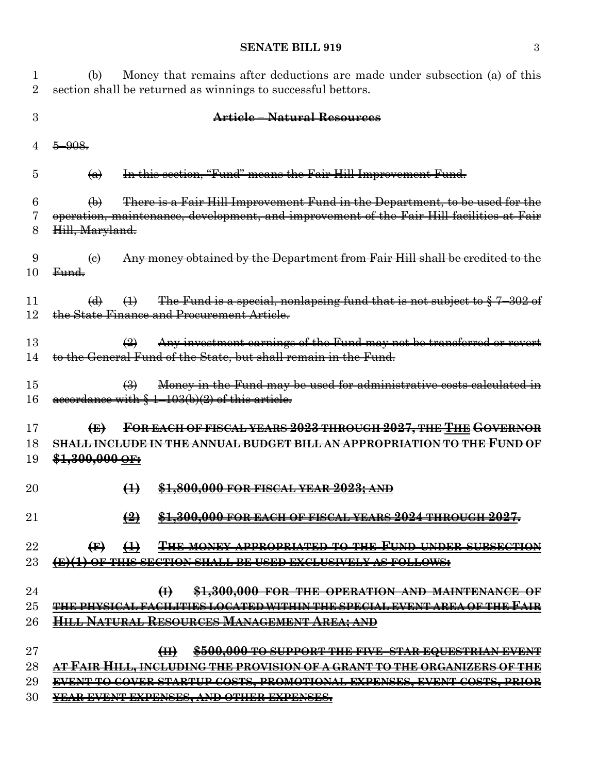#### **SENATE BILL 919** 3

1 (b) Money that remains after deductions are made under subsection (a) of this 2 section shall be returned as winnings to successful bettors. 3 **Article – Natural Resources**  $4\frac{5-908}{7}$  $\overline{a}$   $\overline{a}$  In this section, "Fund" means the Fair Hill Improvement Fund.  $6 \rightarrow$  (b) There is a Fair Hill Improvement Fund in the Department, to be used for the 7 operation, maintenance, development, and improvement of the Fair Hill facilities at Fair 8 Hill, Maryland.  $9 \left( e \right)$  Any money obtained by the Department from Fair Hill shall be credited to the 10 Fund. 11 (d)  $(1)$  The Fund is a special, nonlapsing fund that is not subject to  $\frac{2}{3}$  7–302 of 12 the State Finance and Procurement Article.  $\overline{2}$  Any investment earnings of the Fund may not be transferred or revert 14 to the General Fund of the State, but shall remain in the Fund.  $\left(3\right)$  Money in the Fund may be used for administrative costs calculated in 16 accordance with  $\frac{1-103(b)(2)}{2}$  of this article. 17 **(E) FOR EACH OF FISCAL YEARS 2023 THROUGH 2027, THE THE GOVERNOR** 18 **SHALL INCLUDE IN THE ANNUAL BUDGET BILL AN APPROPRIATION TO THE FUND OF** 19 **\$1,300,000 OF:** 20 **(1) \$1,800,000 FOR FISCAL YEAR 2023; AND** 21 **(2) \$1,300,000 FOR EACH OF FISCAL YEARS 2024 THROUGH 2027.** 22 **(F) (1) THE MONEY APPROPRIATED TO THE FUND UNDER SUBSECTION** 23 **(E)(1) OF THIS SECTION SHALL BE USED EXCLUSIVELY AS FOLLOWS:** 24 **(I) \$1,300,000 FOR THE OPERATION AND MAINTENANCE OF**  25 **THE PHYSICAL FACILITIES LOCATED WITHIN THE SPECIAL EVENT AREA OF THE FAIR**  26 **HILL NATURAL RESOURCES MANAGEMENT AREA; AND** 27 **(II) \$500,000 TO SUPPORT THE FIVE–STAR EQUESTRIAN EVENT**  28 **AT FAIR HILL, INCLUDING THE PROVISION OF A GRANT TO THE ORGANIZERS OF THE**  29 **EVENT TO COVER STARTUP COSTS, PROMOTIONAL EXPENSES, EVENT COSTS, PRIOR**  30 **YEAR EVENT EXPENSES, AND OTHER EXPENSES.**